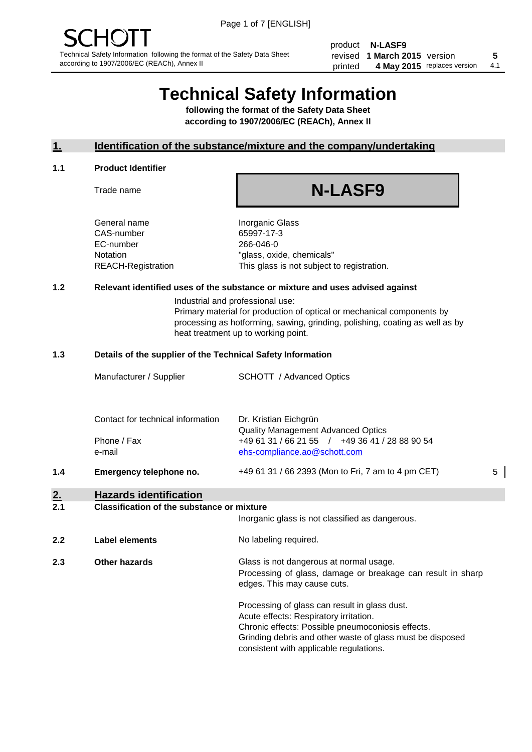product **N-LASF9** revised **5 1 March 2015** version printed 4 May 2015 replaces version 4.1

## **Technical Safety Information**

**following the format of the Safety Data Sheet according to 1907/2006/EC (REACh), Annex II**

#### **1. Identification of the substance/mixture and the company/undertaking**

#### **1.1 Product Identifier**

Trade name

# **N-LASF9**

General name **Inorganic Glass** CAS-number 65997-17-3 EC-number 266-046-0

Notation "glass, oxide, chemicals" REACH-Registration This glass is not subject to registration.

#### **1.2 Relevant identified uses of the substance or mixture and uses advised against**

Industrial and professional use: Primary material for production of optical or mechanical components by processing as hotforming, sawing, grinding, polishing, coating as well as by heat treatment up to working point.

#### **1.3 Details of the supplier of the Technical Safety Information**

|     | Manufacturer / Supplier                                    | <b>SCHOTT</b> / Advanced Optics                                                                                                                      |   |
|-----|------------------------------------------------------------|------------------------------------------------------------------------------------------------------------------------------------------------------|---|
|     | Contact for technical information<br>Phone / Fax<br>e-mail | Dr. Kristian Eichgrün<br><b>Quality Management Advanced Optics</b><br>+49 61 31 / 66 21 55 / +49 36 41 / 28 88 90 54<br>ehs-compliance.ao@schott.com |   |
| 1.4 | Emergency telephone no.                                    | +49 61 31 / 66 2393 (Mon to Fri, 7 am to 4 pm CET)                                                                                                   | 5 |
| 2.  | <b>Hazards identification</b>                              |                                                                                                                                                      |   |

#### **2.1 Classification of the substance or mixture**

| <u>.</u> | oldssingaugh of the substance of imature | Inorganic glass is not classified as dangerous.                                                                                                                                                                                                      |
|----------|------------------------------------------|------------------------------------------------------------------------------------------------------------------------------------------------------------------------------------------------------------------------------------------------------|
| 2.2      | Label elements                           | No labeling required.                                                                                                                                                                                                                                |
| 2.3      | Other hazards                            | Glass is not dangerous at normal usage.<br>Processing of glass, damage or breakage can result in sharp<br>edges. This may cause cuts.                                                                                                                |
|          |                                          | Processing of glass can result in glass dust.<br>Acute effects: Respiratory irritation.<br>Chronic effects: Possible pneumoconiosis effects.<br>Grinding debris and other waste of glass must be disposed<br>consistent with applicable regulations. |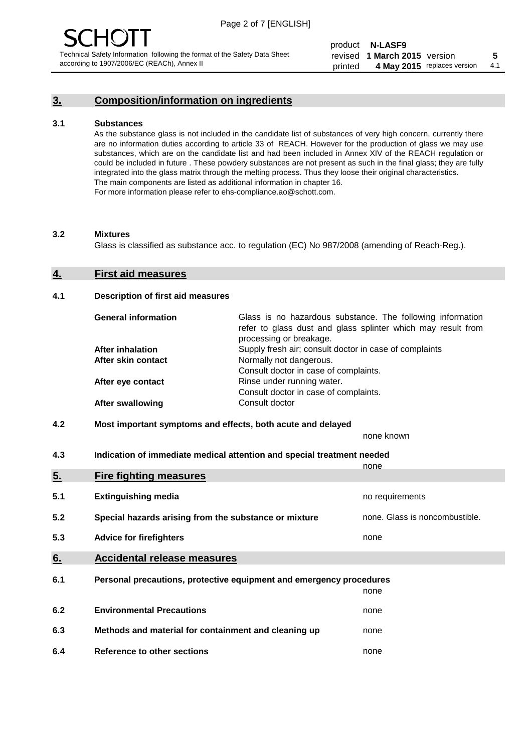## **3. Composition/information on ingredients**

#### **3.1 Substances**

As the substance glass is not included in the candidate list of substances of very high concern, currently there are no information duties according to article 33 of REACH. However for the production of glass we may use substances, which are on the candidate list and had been included in Annex XIV of the REACH regulation or could be included in future . These powdery substances are not present as such in the final glass; they are fully integrated into the glass matrix through the melting process. Thus they loose their original characteristics. The main components are listed as additional information in chapter 16. For more information please refer to ehs-compliance.ao@schott.com.

#### **3.2 Mixtures**

Glass is classified as substance acc. to regulation (EC) No 987/2008 (amending of Reach-Reg.).

#### **4. First aid measures**

#### **4.1 Description of first aid measures**

| <b>General information</b> | Glass is no hazardous substance. The following information<br>refer to glass dust and glass splinter which may result from<br>processing or breakage. |
|----------------------------|-------------------------------------------------------------------------------------------------------------------------------------------------------|
| <b>After inhalation</b>    | Supply fresh air; consult doctor in case of complaints                                                                                                |
| After skin contact         | Normally not dangerous.                                                                                                                               |
|                            | Consult doctor in case of complaints.                                                                                                                 |
| After eye contact          | Rinse under running water.                                                                                                                            |
|                            | Consult doctor in case of complaints.                                                                                                                 |
| <b>After swallowing</b>    | Consult doctor                                                                                                                                        |

#### **4.2 Most important symptoms and effects, both acute and delayed**

none known

**4.3 Indication of immediate medical attention and special treatment needed** 

|     |                                                                     | none                           |
|-----|---------------------------------------------------------------------|--------------------------------|
| 5.  | <b>Fire fighting measures</b>                                       |                                |
| 5.1 | <b>Extinguishing media</b>                                          | no requirements                |
| 5.2 | Special hazards arising from the substance or mixture               | none. Glass is noncombustible. |
| 5.3 | <b>Advice for firefighters</b>                                      | none                           |
| 6.  | <b>Accidental release measures</b>                                  |                                |
| 6.1 | Personal precautions, protective equipment and emergency procedures |                                |
|     |                                                                     | none                           |
| 6.2 | <b>Environmental Precautions</b>                                    | none                           |
| 6.3 | Methods and material for containment and cleaning up                | none                           |
| 6.4 | Reference to other sections                                         | none                           |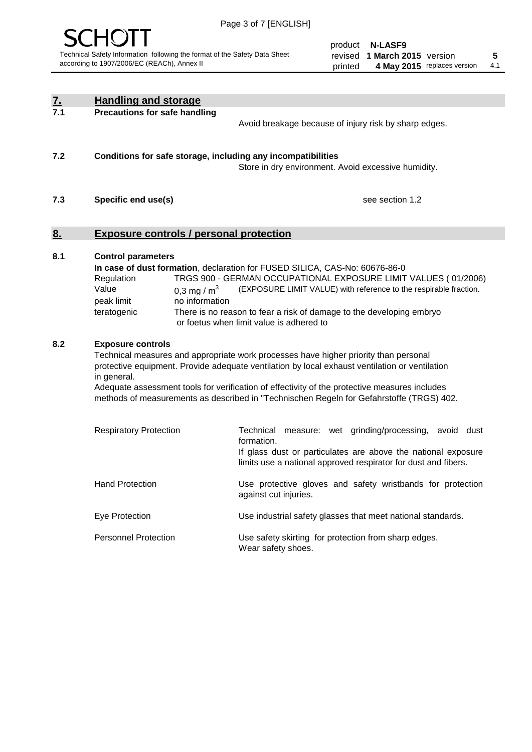

product **N-LASF9** revised **5 1 March 2015** version printed 4 May 2015 replaces version 4.1

| <u>Z.</u> | <b>Handling and storage</b>                                                                                      |                                                                                                                                                                                                                                                                                                                                                                                     |
|-----------|------------------------------------------------------------------------------------------------------------------|-------------------------------------------------------------------------------------------------------------------------------------------------------------------------------------------------------------------------------------------------------------------------------------------------------------------------------------------------------------------------------------|
| 7.1       | <b>Precautions for safe handling</b>                                                                             | Avoid breakage because of injury risk by sharp edges.                                                                                                                                                                                                                                                                                                                               |
| 7.2       | Conditions for safe storage, including any incompatibilities                                                     | Store in dry environment. Avoid excessive humidity.                                                                                                                                                                                                                                                                                                                                 |
| 7.3       | Specific end use(s)                                                                                              | see section 1.2                                                                                                                                                                                                                                                                                                                                                                     |
| <u>8.</u> | <b>Exposure controls / personal protection</b>                                                                   |                                                                                                                                                                                                                                                                                                                                                                                     |
| 8.1       | <b>Control parameters</b><br>Regulation<br>Value<br>0,3 mg / $m3$<br>peak limit<br>no information<br>teratogenic | In case of dust formation, declaration for FUSED SILICA, CAS-No: 60676-86-0<br>TRGS 900 - GERMAN OCCUPATIONAL EXPOSURE LIMIT VALUES (01/2006)<br>(EXPOSURE LIMIT VALUE) with reference to the respirable fraction.<br>There is no reason to fear a risk of damage to the developing embryo<br>or foetus when limit value is adhered to                                              |
| 8.2       | <b>Exposure controls</b><br>in general.                                                                          | Technical measures and appropriate work processes have higher priority than personal<br>protective equipment. Provide adequate ventilation by local exhaust ventilation or ventilation<br>Adequate assessment tools for verification of effectivity of the protective measures includes<br>methods of measurements as described in "Technischen Regeln for Gefahrstoffe (TRGS) 402. |
|           | <b>Respiratory Protection</b>                                                                                    | Technical measure: wet grinding/processing, avoid dust<br>formation.<br>If glass dust or particulates are above the national exposure<br>limits use a national approved respirator for dust and fibers.                                                                                                                                                                             |
|           | <b>Hand Protection</b>                                                                                           | Use protective gloves and safety wristbands for protection<br>against cut injuries.                                                                                                                                                                                                                                                                                                 |
|           | Eye Protection                                                                                                   | Use industrial safety glasses that meet national standards.                                                                                                                                                                                                                                                                                                                         |
|           | <b>Personnel Protection</b>                                                                                      | Use safety skirting for protection from sharp edges.<br>Wear safety shoes.                                                                                                                                                                                                                                                                                                          |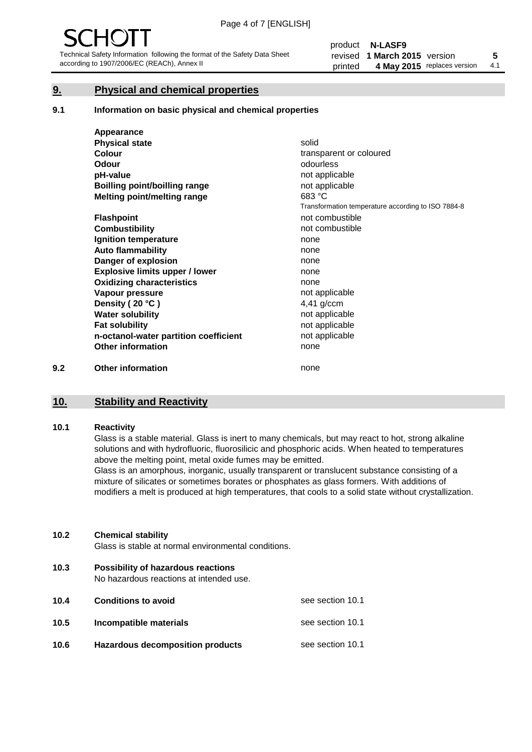#### **9. Physical and chemical properties**

#### **9.1 Information on basic physical and chemical properties**

|     | Appearance                            |                                                    |
|-----|---------------------------------------|----------------------------------------------------|
|     | <b>Physical state</b>                 | solid                                              |
|     | <b>Colour</b>                         | transparent or coloured                            |
|     | <b>Odour</b>                          | odourless                                          |
|     | pH-value                              | not applicable                                     |
|     | Boilling point/boilling range         | not applicable                                     |
|     | Melting point/melting range           | 683 °C                                             |
|     |                                       | Transformation temperature according to ISO 7884-8 |
|     | <b>Flashpoint</b>                     | not combustible                                    |
|     | <b>Combustibility</b>                 | not combustible                                    |
|     | Ignition temperature                  | none                                               |
|     | <b>Auto flammability</b>              | none                                               |
|     | Danger of explosion                   | none                                               |
|     | <b>Explosive limits upper / lower</b> | none                                               |
|     | <b>Oxidizing characteristics</b>      | none                                               |
|     | Vapour pressure                       | not applicable                                     |
|     | Density (20 °C)                       | 4,41 g/ccm                                         |
|     | <b>Water solubility</b>               | not applicable                                     |
|     | <b>Fat solubility</b>                 | not applicable                                     |
|     | n-octanol-water partition coefficient | not applicable                                     |
|     | <b>Other information</b>              | none                                               |
| 9.2 | <b>Other information</b>              | none                                               |

#### **10. Stability and Reactivity**

#### **10.1 Reactivity**

Glass is a stable material. Glass is inert to many chemicals, but may react to hot, strong alkaline solutions and with hydrofluoric, fluorosilicic and phosphoric acids. When heated to temperatures above the melting point, metal oxide fumes may be emitted.

Glass is an amorphous, inorganic, usually transparent or translucent substance consisting of a mixture of silicates or sometimes borates or phosphates as glass formers. With additions of modifiers a melt is produced at high temperatures, that cools to a solid state without crystallization.

#### **10.2 Chemical stability**

Glass is stable at normal environmental conditions.

**10.3 Possibility of hazardous reactions** 

No hazardous reactions at intended use.

| 10.4 | <b>Conditions to avoid</b>              | see section 10.1 |
|------|-----------------------------------------|------------------|
| 10.5 | Incompatible materials                  | see section 10.1 |
| 10.6 | <b>Hazardous decomposition products</b> | see section 10.1 |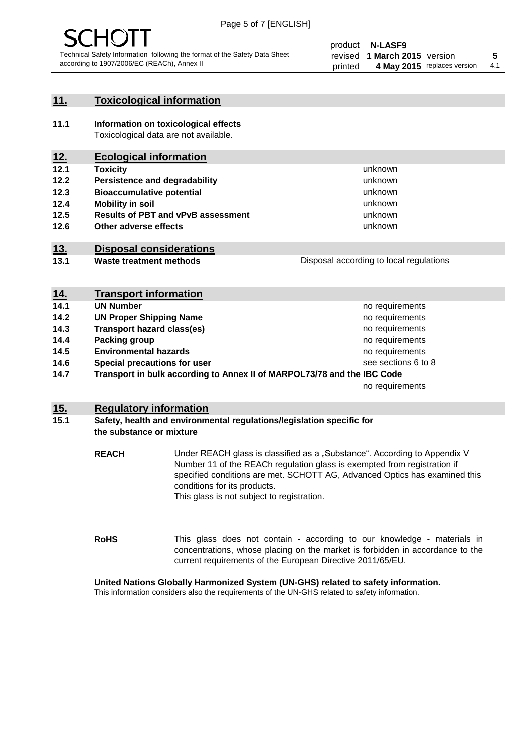

#### **11. Toxicological information**

**11.1 Information on toxicological effects** Toxicological data are not available.

## **12. Ecological information**

- **12.1 Toxicity**
- **12.2 Persistence and degradability**
- **12.3 Bioaccumulative potential**
- **12.4 Mobility in soil**
- **12.5 Results of PBT and vPvB assessment**
- **12.6 Other adverse effects**

#### **13. Disposal considerations**

**13.1 Waste treatment methods**

| Disposal according to local regulations |  |
|-----------------------------------------|--|
|                                         |  |

unknown unknown unknown unknown

unknown unknown

| <u>14.</u> | <b>Transport information</b>                                            |                     |
|------------|-------------------------------------------------------------------------|---------------------|
| 14.1       | <b>UN Number</b>                                                        | no requirements     |
| 14.2       | <b>UN Proper Shipping Name</b>                                          | no requirements     |
| 14.3       | <b>Transport hazard class(es)</b>                                       | no requirements     |
| 14.4       | Packing group                                                           | no requirements     |
| 14.5       | <b>Environmental hazards</b>                                            | no requirements     |
| 14.6       | Special precautions for user                                            | see sections 6 to 8 |
| 14.7       | Transport in bulk according to Annex II of MARPOL73/78 and the IBC Code |                     |
|            |                                                                         | no requirements     |

#### **15. Regulatory information**

#### **15.1 Safety, health and environmental regulations/legislation specific for the substance or mixture**

**REACH** Under REACH glass is classified as a "Substance". According to Appendix V Number 11 of the REACh regulation glass is exempted from registration if specified conditions are met. SCHOTT AG, Advanced Optics has examined this conditions for its products. This glass is not subject to registration.

**RoHS** This glass does not contain - according to our knowledge - materials in concentrations, whose placing on the market is forbidden in accordance to the current requirements of the European Directive 2011/65/EU.

#### **United Nations Globally Harmonized System (UN-GHS) related to safety information.**

This information considers also the requirements of the UN-GHS related to safety information.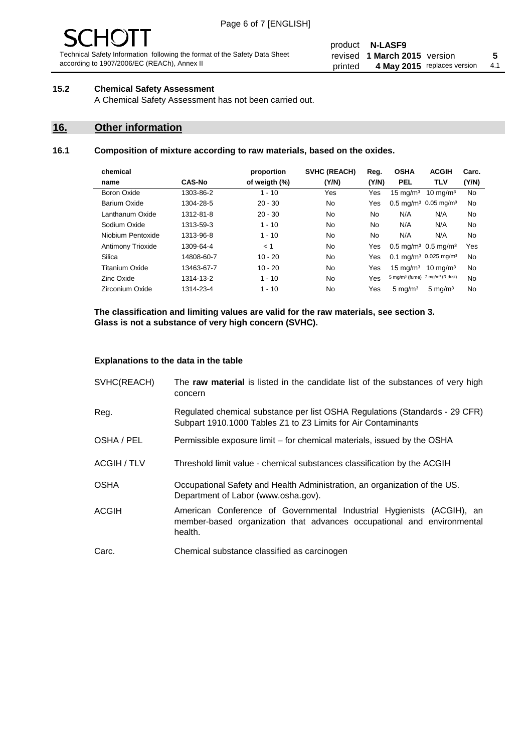# $\mathbf{H}$

Technical Safety Information following the format of the Safety Data Sheet according to 1907/2006/EC (REACh), Annex II

#### product **N-LASF9** revised **5 1 March 2015** version printed 4 May 2015 replaces version 4.1

#### **15.2 Chemical Safety Assessment**

A Chemical Safety Assessment has not been carried out.

#### **16. Other information**

#### **16.1 Composition of mixture according to raw materials, based on the oxides.**

| chemical                 |               | proportion    | <b>SVHC (REACH)</b> | Reg.  | <b>OSHA</b>                                             | <b>ACGIH</b>        | Carc. |
|--------------------------|---------------|---------------|---------------------|-------|---------------------------------------------------------|---------------------|-------|
| name                     | <b>CAS-No</b> | of weigth (%) | (Y/N)               | (Y/N) | <b>PEL</b>                                              | <b>TLV</b>          | (Y/N) |
| Boron Oxide              | 1303-86-2     | $1 - 10$      | Yes                 | Yes   | $15 \text{ mg/m}^3$                                     | $10 \text{ ma/m}^3$ | No    |
| Barium Oxide             | 1304-28-5     | $20 - 30$     | No                  | Yes   | $0.5 \text{ mg/m}^3$ 0.05 mg/m <sup>3</sup>             |                     | No    |
| Lanthanum Oxide          | 1312-81-8     | $20 - 30$     | No                  | No    | N/A                                                     | N/A                 | No    |
| Sodium Oxide             | 1313-59-3     | $1 - 10$      | <b>No</b>           | No.   | N/A                                                     | N/A                 | No    |
| Niobium Pentoxide        | 1313-96-8     | $1 - 10$      | No                  | No    | N/A                                                     | N/A                 | No    |
| <b>Antimony Trioxide</b> | 1309-64-4     | < 1           | No                  | Yes   | $0.5 \text{ mg/m}^3$ 0.5 mg/m <sup>3</sup>              |                     | Yes   |
| Silica                   | 14808-60-7    | $10 - 20$     | No                  | Yes   | $0.1 \text{ mg/m}^3$ 0.025 mg/m <sup>3</sup>            |                     | No    |
| Titanium Oxide           | 13463-67-7    | $10 - 20$     | No                  | Yes   | $15 \text{ mg/m}^3$                                     | $10 \text{ ma/m}^3$ | No    |
| Zinc Oxide               | 1314-13-2     | $1 - 10$      | No                  | Yes   | 5 mg/m <sup>3</sup> (fume) 2 mg/m <sup>3</sup> (R dust) |                     | No    |
| Zirconium Oxide          | 1314-23-4     | $1 - 10$      | No                  | Yes   | $5 \text{ mg/m}^3$                                      | $5 \text{ mg/m}^3$  | No    |
|                          |               |               |                     |       |                                                         |                     |       |

**The classification and limiting values are valid for the raw materials, see section 3. Glass is not a substance of very high concern (SVHC).**

#### **Explanations to the data in the table**

| SVHC(REACH)        | The raw material is listed in the candidate list of the substances of very high<br>concern                                                                 |
|--------------------|------------------------------------------------------------------------------------------------------------------------------------------------------------|
| Reg.               | Regulated chemical substance per list OSHA Regulations (Standards - 29 CFR)<br>Subpart 1910.1000 Tables Z1 to Z3 Limits for Air Contaminants               |
| OSHA / PEL         | Permissible exposure limit – for chemical materials, issued by the OSHA                                                                                    |
| <b>ACGIH / TLV</b> | Threshold limit value - chemical substances classification by the ACGIH                                                                                    |
| <b>OSHA</b>        | Occupational Safety and Health Administration, an organization of the US.<br>Department of Labor (www.osha.gov).                                           |
| <b>ACGIH</b>       | American Conference of Governmental Industrial Hygienists (ACGIH), an<br>member-based organization that advances occupational and environmental<br>health. |
| Carc.              | Chemical substance classified as carcinogen                                                                                                                |